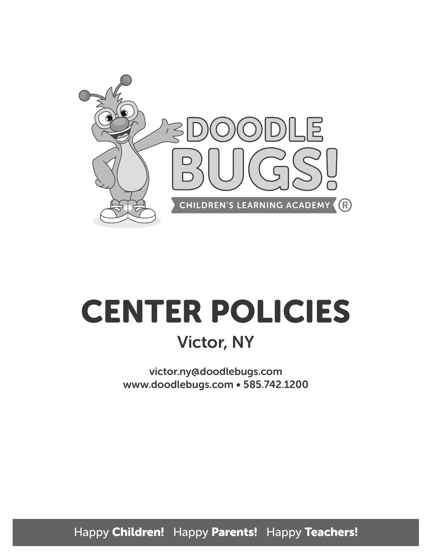

# CENTER POLICIES Victor, NY

victor.ny@doodlebugs.com www.doodlebugs.com • 585.742.1200

Happy Children! Happy Parents! Happy Teachers!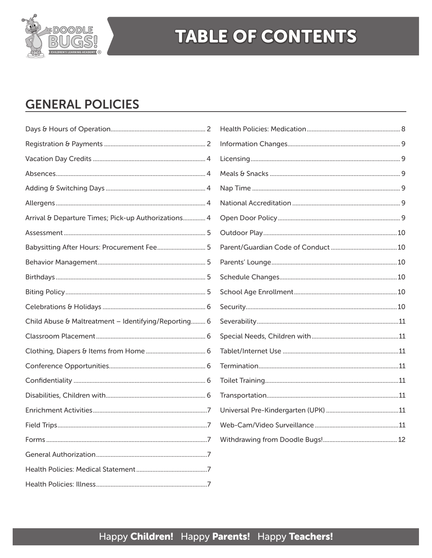

## **TABLE OF CONTENTS**

## **GENERAL POLICIES**

| Arrival & Departure Times; Pick-up Authorizations 4  |  |
|------------------------------------------------------|--|
|                                                      |  |
| Babysitting After Hours: Procurement Fee 5           |  |
|                                                      |  |
|                                                      |  |
|                                                      |  |
|                                                      |  |
| Child Abuse & Maltreatment - Identifying/Reporting 6 |  |
|                                                      |  |
|                                                      |  |
|                                                      |  |
|                                                      |  |
|                                                      |  |
|                                                      |  |
|                                                      |  |
|                                                      |  |
|                                                      |  |
|                                                      |  |
|                                                      |  |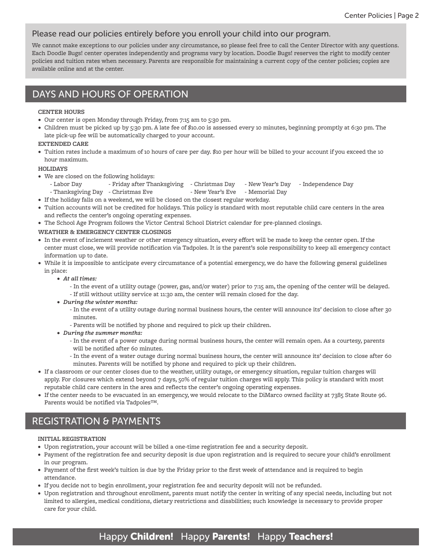#### Please read our policies entirely before you enroll your child into our program.

We cannot make exceptions to our policies under any circumstance, so please feel free to call the Center Director with any questions. Each Doodle Bugs! center operates independently and programs vary by location. Doodle Bugs! reserves the right to modify center policies and tuition rates when necessary. Parents are responsible for maintaining a current copy of the center policies; copies are available online and at the center.

## DAYS AND HOURS OF OPERATION

#### **CENTER HOURS**

- Our center is open Monday through Friday, from 7:15 am to 5:30 pm.
- Children must be picked up by 5:30 pm. A late fee of \$10.00 is assessed every 10 minutes, beginning promptly at 6:30 pm. The late pick-up fee will be automatically charged to your account.

#### **EXTENDED CARE**

• Tuition rates include a maximum of 10 hours of care per day. \$10 per hour will be billed to your account if you exceed the 10 hour maximum.

#### **HOLIDAYS**

- We are closed on the following holidays:
	- Labor Day Friday after Thanksgiving Christmas Day New Year's Day Independence Day
	- Thanksgiving Day Christmas Eve New Year's Eve Memorial Day
- If the holiday falls on a weekend, we will be closed on the closest regular workday.
- Tuition accounts will not be credited for holidays. This policy is standard with most reputable child care centers in the area and reflects the center's ongoing operating expenses.
- The School Age Program follows the Victor Central School District calendar for pre-planned closings.
- **WEATHER & EMERGENCY CENTER CLOSINGS**
- In the event of inclement weather or other emergency situation, every effort will be made to keep the center open. If the center must close, we will provide notification via Tadpoles. It is the parent's sole responsibility to keep all emergency contact information up to date.
- While it is impossible to anticipate every circumstance of a potential emergency, we do have the following general guidelines in place:
	- *• At all times:*
		- In the event of a utility outage (power, gas, and/or water) prior to 7:15 am, the opening of the center will be delayed. - If still without utility service at 11:30 am, the center will remain closed for the day.
	- *• During the winter months:*
		- In the event of a utility outage during normal business hours, the center will announce its' decision to close after 30 minutes.
		- Parents will be notified by phone and required to pick up their children.
	- *• During the summer months:*
		- In the event of a power outage during normal business hours, the center will remain open. As a courtesy, parents will be notified after 60 minutes.
		- In the event of a water outage during normal business hours, the center will announce its' decision to close after 60 minutes. Parents will be notified by phone and required to pick up their children.
- If a classroom or our center closes due to the weather, utility outage, or emergency situation, regular tuition charges will apply. For closures which extend beyond 7 days, 50% of regular tuition charges will apply. This policy is standard with most reputable child care centers in the area and reflects the center's ongoing operating expenses.
- If the center needs to be evacuated in an emergency, we would relocate to the DiMarco owned facility at 7385 State Route 96. Parents would be notified via Tadpoles™.

## REGISTRATION & PAYMENTS

#### **INITIAL REGISTRATION**

- Upon registration, your account will be billed a one-time registration fee and a security deposit.
- Payment of the registration fee and security deposit is due upon registration and is required to secure your child's enrollment in our program.
- Payment of the first week's tuition is due by the Friday prior to the first week of attendance and is required to begin attendance.
- If you decide not to begin enrollment, your registration fee and security deposit will not be refunded.
- Upon registration and throughout enrollment, parents must notify the center in writing of any special needs, including but not limited to allergies, medical conditions, dietary restrictions and disabilities; such knowledge is necessary to provide proper care for your child.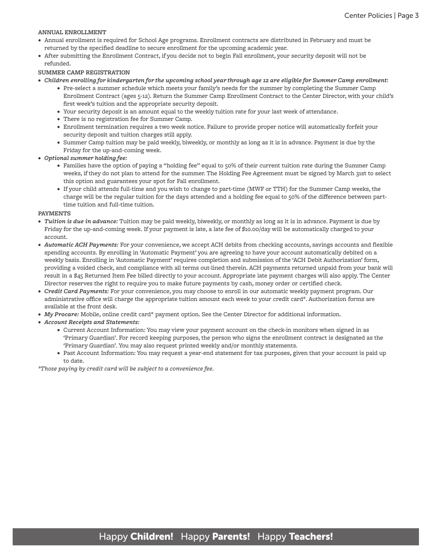#### **ANNUAL ENROLLMENT**

- Annual enrollment is required for School Age programs. Enrollment contracts are distributed in February and must be returned by the specified deadline to secure enrollment for the upcoming academic year.
- After submitting the Enrollment Contract, if you decide not to begin Fall enrollment, your security deposit will not be refunded.

#### **SUMMER CAMP REGISTRATION**

- *• Children enrolling for kindergarten for the upcoming school year through age 12 are eligible for Summer Camp enrollment:*
	- Pre-select a summer schedule which meets your family's needs for the summer by completing the Summer Camp Enrollment Contract (ages 5-12). Return the Summer Camp Enrollment Contract to the Center Director, with your child's first week's tuition and the appropriate security deposit.
	- Your security deposit is an amount equal to the weekly tuition rate for your last week of attendance.
	- There is no registration fee for Summer Camp.
	- Enrollment termination requires a two week notice. Failure to provide proper notice will automatically forfeit your security deposit and tuition charges still apply.
	- Summer Camp tuition may be paid weekly, biweekly, or monthly as long as it is in advance. Payment is due by the Friday for the up-and-coming week.
- *• Optional summer holding fee:*
	- Families have the option of paying a "holding fee" equal to 50% of their current tuition rate during the Summer Camp weeks, if they do not plan to attend for the summer. The Holding Fee Agreement must be signed by March 31st to select this option and guarantees your spot for Fall enrollment.
	- If your child attends full-time and you wish to change to part-time (MWF or TTH) for the Summer Camp weeks, the charge will be the regular tuition for the days attended and a holding fee equal to 50% of the difference between parttime tuition and full-time tuition.

#### **PAYMENTS**

- *• Tuition is due in advance:* Tuition may be paid weekly, biweekly, or monthly as long as it is in advance. Payment is due by Friday for the up-and-coming week. If your payment is late, a late fee of \$10.00/day will be automatically charged to your account.
- *• Automatic ACH Payments:* For your convenience, we accept ACH debits from checking accounts, savings accounts and flexible spending accounts. By enrolling in 'Automatic Payment' you are agreeing to have your account automatically debited on a weekly basis. Enrolling in 'Automatic Payment' requires completion and submission of the 'ACH Debit Authorization' form, providing a voided check, and compliance with all terms out-lined therein. ACH payments returned unpaid from your bank will result in a \$45 Returned Item Fee billed directly to your account. Appropriate late payment charges will also apply. The Center Director reserves the right to require you to make future payments by cash, money order or certified check.
- *• Credit Card Payments:* For your convenience, you may choose to enroll in our automatic weekly payment program. Our administrative office will charge the appropriate tuition amount each week to your credit card\*. Authorization forms are available at the front desk.
- *• My Procare:* Mobile, online credit card\* payment option. See the Center Director for additional information.
- *• Account Receipts and Statements:*
	- Current Account Information: You may view your payment account on the check-in monitors when signed in as 'Primary Guardian'. For record keeping purposes, the person who signs the enrollment contract is designated as the 'Primary Guardian'. You may also request printed weekly and/or monthly statements.
	- Past Account Information: You may request a year-end statement for tax purposes, given that your account is paid up to date.

*\*Those paying by credit card will be subject to a convenience fee.*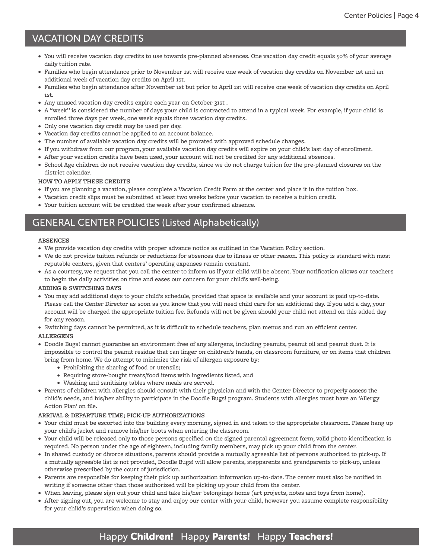## VACATION DAY CREDITS

- You will receive vacation day credits to use towards pre-planned absences. One vacation day credit equals 50% of your average daily tuition rate.
- Families who begin attendance prior to November 1st will receive one week of vacation day credits on November 1st and an additional week of vacation day credits on April 1st.
- Families who begin attendance after November 1st but prior to April 1st will receive one week of vacation day credits on April 1st.
- Any unused vacation day credits expire each year on October 31st .
- A "week" is considered the number of days your child is contracted to attend in a typical week. For example, if your child is enrolled three days per week, one week equals three vacation day credits.
- Only one vacation day credit may be used per day.
- Vacation day credits cannot be applied to an account balance.
- The number of available vacation day credits will be prorated with approved schedule changes.
- If you withdraw from our program, your available vacation day credits will expire on your child's last day of enrollment.
- After your vacation credits have been used, your account will not be credited for any additional absences.
- School Age children do not receive vacation day credits, since we do not charge tuition for the pre-planned closures on the district calendar.

#### **HOW TO APPLY THESE CREDITS**

- If you are planning a vacation, please complete a Vacation Credit Form at the center and place it in the tuition box.
- Vacation credit slips must be submitted at least two weeks before your vacation to receive a tuition credit.
- Your tuition account will be credited the week after your confirmed absence.

## GENERAL CENTER POLICIES (Listed Alphabetically)

#### **ABSENCES**

- We provide vacation day credits with proper advance notice as outlined in the Vacation Policy section.
- We do not provide tuition refunds or reductions for absences due to illness or other reason. This policy is standard with most reputable centers, given that centers' operating expenses remain constant.
- As a courtesy, we request that you call the center to inform us if your child will be absent. Your notification allows our teachers to begin the daily activities on time and eases our concern for your child's well-being.

#### **ADDING & SWITCHING DAYS**

- You may add additional days to your child's schedule, provided that space is available and your account is paid up-to-date. Please call the Center Director as soon as you know that you will need child care for an additional day. If you add a day, your account will be charged the appropriate tuition fee. Refunds will not be given should your child not attend on this added day for any reason.
- Switching days cannot be permitted, as it is difficult to schedule teachers, plan menus and run an efficient center.

#### **ALLERGENS**

- Doodle Bugs! cannot guarantee an environment free of any allergens, including peanuts, peanut oil and peanut dust. It is impossible to control the peanut residue that can linger on children's hands, on classroom furniture, or on items that children bring from home. We do attempt to minimize the risk of allergen exposure by:
	- Prohibiting the sharing of food or utensils;
	- Requiring store-bought treats/food items with ingredients listed, and
	- Washing and sanitizing tables where meals are served.
- Parents of children with allergies should consult with their physician and with the Center Director to properly assess the child's needs, and his/her ability to participate in the Doodle Bugs! program. Students with allergies must have an 'Allergy Action Plan' on file.

#### **ARRIVAL & DEPARTURE TIME; PICK-UP AUTHORIZATIONS**

- Your child must be escorted into the building every morning, signed in and taken to the appropriate classroom. Please hang up your child's jacket and remove his/her boots when entering the classroom.
- Your child will be released only to those persons specified on the signed parental agreement form; valid photo identification is required. No person under the age of eighteen, including family members, may pick up your child from the center.
- In shared custody or divorce situations, parents should provide a mutually agreeable list of persons authorized to pick-up. If a mutually agreeable list is not provided, Doodle Bugs! will allow parents, stepparents and grandparents to pick-up, unless otherwise prescribed by the court of jurisdiction.
- Parents are responsible for keeping their pick up authorization information up-to-date. The center must also be notified in writing if someone other than those authorized will be picking up your child from the center.
- When leaving, please sign out your child and take his/her belongings home (art projects, notes and toys from home).
- After signing out, you are welcome to stay and enjoy our center with your child, however you assume complete responsibility for your child's supervision when doing so.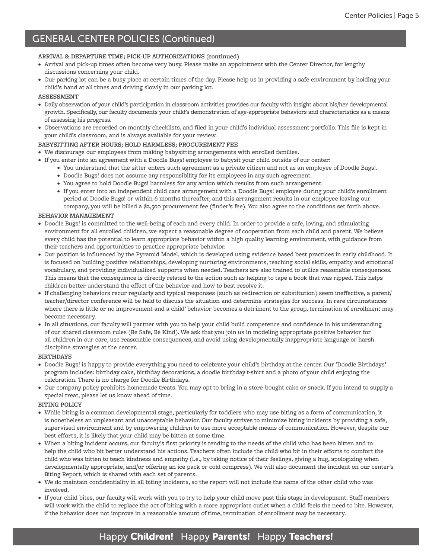#### **ARRIVAL & DEPARTURE TIME; PICK-UP AUTHORIZATIONS (continued)**

- Arrival and pick-up times often become very busy. Please make an appointment with the Center Director, for lengthy discussions concerning your child.
- Our parking lot can be a busy place at certain times of the day. Please help us in providing a safe environment by holding your child's hand at all times and driving slowly in our parking lot.

#### **ASSESSMENT**

- Daily observation of your child's participation in classroom activities provides our faculty with insight about his/her developmental growth. Specifically, our faculty documents your child's demonstration of age-appropriate behaviors and characteristics as a means of assessing his progress.
- Observations are recorded on monthly checklists, and filed in your child's individual assessment portfolio. This file is kept in your child's classroom, and is always available for your review.

#### **BABYSITTING AFTER HOURS; HOLD HARMLESS; PROCUREMENT FEE**

- We discourage our employees from making babysitting arrangements with enrolled families.
- If you enter into an agreement with a Doodle Bugs! employee to babysit your child outside of our center:
	- You understand that the sitter enters such agreement as a private citizen and not as an employee of Doodle Bugs!.
	- Doodle Bugs! does not assume any responsibility for its employees in any such agreement.
	- You agree to hold Doodle Bugs! harmless for any action which results from such arrangement.
	- If you enter into an independent child care arrangement with a Doodle Bugs! employee during your child's enrollment period at Doodle Bugs! or within 6 months thereafter, and this arrangement results in our employee leaving our company, you will be billed a \$2,500 procurement fee (finder's fee). You also agree to the conditions set forth above.

#### **BEHAVIOR MANAGEMENT**

- Doodle Bugs! is committed to the well-being of each and every child. In order to provide a safe, loving, and stimulating environment for all enrolled children, we expect a reasonable degree of cooperation from each child and parent. We believe every child has the potential to learn appropriate behavior within a high quality learning environment, with guidance from their teachers and opportunities to practice appropriate behavior.
- Our position is influenced by the Pyramid Model, which is developed using evidence based best practices in early childhood. It is focused on building positive relationships, developing nurturing environments, teaching social skills, empathy and emotional vocabulary, and providing individualized supports when needed. Teachers are also trained to utilize reasonable consequences. This means that the consequence is directly related to the action such as helping to tape a book that was ripped. This helps children better understand the effect of the behavior and how to best resolve it.
- If challenging behaviors recur regularly and typical responses (such as redirection or substitution) seem ineffective, a parent/ teacher/director conference will be held to discuss the situation and determine strategies for success. In rare circumstances where there is little or no improvement and a child' behavior becomes a detriment to the group, termination of enrollment may become necessary.
- In all situations, our faculty will partner with you to help your child build competence and confidence in his understanding of our shared classroom rules (Be Safe, Be Kind). We ask that you join us in modeling appropriate positive behavior for all children in our care, use reasonable consequences, and avoid using developmentally inappropriate language or harsh discipline strategies at the center.

#### **BIRTHDAYS**

- Doodle Bugs! is happy to provide everything you need to celebrate your child's birthday at the center. Our 'Doodle Birthdays' program includes: birthday cake, birthday decorations, a doodle birthday t-shirt and a photo of your child enjoying the celebration. There is no charge for Doodle Birthdays.
- Our company policy prohibits homemade treats. You may opt to bring in a store-bought cake or snack. If you intend to supply a special treat, please let us know ahead of time.

#### **BITING POLICY**

- While biting is a common developmental stage, particularly for toddlers who may use biting as a form of communication, it is nonetheless an unpleasant and unacceptable behavior. Our faculty strives to minimize biting incidents by providing a safe, supervised environment and by empowering children to use more acceptable means of communication. However, despite our best efforts, it is likely that your child may be bitten at some time.
- When a biting incident occurs, our faculty's first priority is tending to the needs of the child who has been bitten and to help the child who bit better understand his actions. Teachers often include the child who bit in their efforts to comfort the child who was bitten to teach kindness and empathy (i.e., by taking notice of their feelings, giving a hug, apologizing when developmentally appropriate, and/or offering an ice pack or cold compress). We will also document the incident on our center's Biting Report, which is shared with each set of parents.
- We do maintain confidentiality in all biting incidents, so the report will not include the name of the other child who was involved.
- If your child bites, our faculty will work with you to try to help your child move past this stage in development. Staff members will work with the child to replace the act of biting with a more appropriate outlet when a child feels the need to bite. However, if the behavior does not improve in a reasonable amount of time, termination of enrollment may be necessary.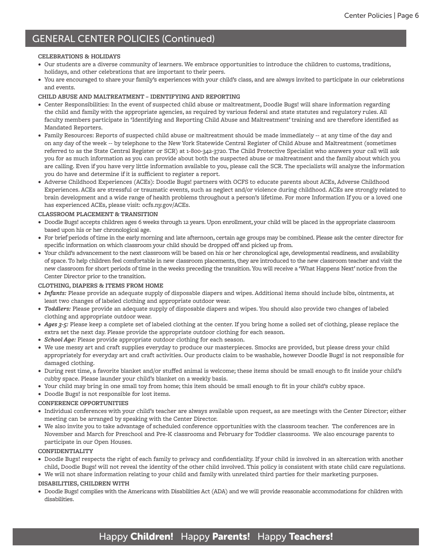#### **CELEBRATIONS & HOLIDAYS**

- Our students are a diverse community of learners. We embrace opportunities to introduce the children to customs, traditions, holidays, and other celebrations that are important to their peers.
- You are encouraged to share your family's experiences with your child's class, and are always invited to participate in our celebrations and events.

#### **CHILD ABUSE AND MALTREATMENT – IDENTIFYING AND REPORTING**

- Center Responsibilities: In the event of suspected child abuse or maltreatment, Doodle Bugs! will share information regarding the child and family with the appropriate agencies, as required by various federal and state statutes and regulatory rules. All faculty members participate in 'Identifying and Reporting Child Abuse and Maltreatment' training and are therefore identified as Mandated Reporters.
- Family Resources: Reports of suspected child abuse or maltreatment should be made immediately -- at any time of the day and on any day of the week -- by telephone to the New York Statewide Central Register of Child Abuse and Maltreatment (sometimes referred to as the State Central Register or SCR) at 1-800-342-3720. The Child Protective Specialist who answers your call will ask you for as much information as you can provide about both the suspected abuse or maltreatment and the family about which you are calling. Even if you have very little information available to you, please call the SCR. The specialists will analyze the information you do have and determine if it is sufficient to register a report.
- Adverse Childhood Experiences (ACEs): Doodle Bugs! partners with OCFS to educate parents about ACEs, Adverse Childhood Experiences. ACEs are stressful or traumatic events, such as neglect and/or violence during childhood. ACEs are strongly related to brain development and a wide range of health problems throughout a person's lifetime. For more Information If you or a loved one has experienced ACEs, please visit: ocfs.ny.gov/ACEs.

#### **CLASSROOM PLACEMENT & TRANSITION**

- Doodle Bugs! accepts children ages 6 weeks through 12 years. Upon enrollment, your child will be placed in the appropriate classroom based upon his or her chronological age.
- For brief periods of time in the early morning and late afternoon, certain age groups may be combined. Please ask the center director for specific information on which classroom your child should be dropped off and picked up from.
- Your child's advancement to the next classroom will be based on his or her chronological age, developmental readiness, and availability of space. To help children feel comfortable in new classroom placements, they are introduced to the new classroom teacher and visit the new classroom for short periods of time in the weeks preceding the transition. You will receive a 'What Happens Next' notice from the Center Director prior to the transition.

#### **CLOTHING, DIAPERS & ITEMS FROM HOME**

- *• Infants:* Please provide an adequate supply of disposable diapers and wipes. Additional items should include bibs, ointments, at least two changes of labeled clothing and appropriate outdoor wear.
- *• Toddlers:* Please provide an adequate supply of disposable diapers and wipes. You should also provide two changes of labeled clothing and appropriate outdoor wear.
- *• Ages 3-5:* Please keep a complete set of labeled clothing at the center. If you bring home a soiled set of clothing, please replace the extra set the next day. Please provide the appropriate outdoor clothing for each season.
- *• School Age:* Please provide appropriate outdoor clothing for each season.
- We use messy art and craft supplies everyday to produce our masterpieces. Smocks are provided, but please dress your child appropriately for everyday art and craft activities. Our products claim to be washable, however Doodle Bugs! is not responsible for damaged clothing.
- During rest time, a favorite blanket and/or stuffed animal is welcome; these items should be small enough to fit inside your child's cubby space. Please launder your child's blanket on a weekly basis.
- Your child may bring in one small toy from home; this item should be small enough to fit in your child's cubby space.
- Doodle Bugs! is not responsible for lost items.

#### **CONFERENCE OPPORTUNITIES**

- Individual conferences with your child's teacher are always available upon request, as are meetings with the Center Director; either meeting can be arranged by speaking with the Center Director.
- We also invite you to take advantage of scheduled conference opportunities with the classroom teacher. The conferences are in November and March for Preschool and Pre-K classrooms and February for Toddler classrooms. We also encourage parents to participate in our Open Houses.

#### **CONFIDENTIALITY**

- Doodle Bugs! respects the right of each family to privacy and confidentiality. If your child is involved in an altercation with another child, Doodle Bugs! will not reveal the identity of the other child involved. This policy is consistent with state child care regulations.
- We will not share information relating to your child and family with unrelated third parties for their marketing purposes.

#### **DISABILITIES, CHILDREN WITH**

• Doodle Bugs! complies with the Americans with Disabilities Act (ADA) and we will provide reasonable accommodations for children with disabilities.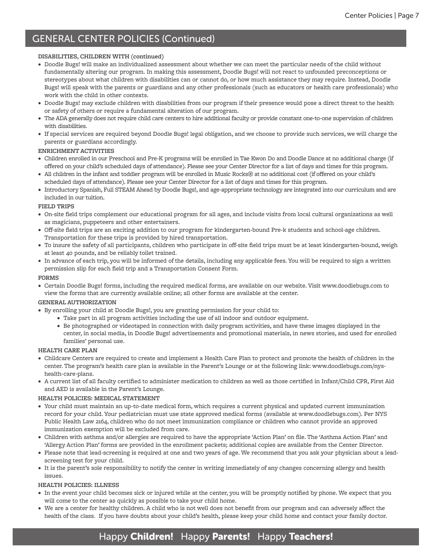#### **DISABILITIES, CHILDREN WITH (continued)**

- Doodle Bugs! will make an individualized assessment about whether we can meet the particular needs of the child without fundamentally altering our program. In making this assessment, Doodle Bugs! will not react to unfounded preconceptions or stereotypes about what children with disabilities can or cannot do, or how much assistance they may require. Instead, Doodle Bugs! will speak with the parents or guardians and any other professionals (such as educators or health care professionals) who work with the child in other contexts.
- Doodle Bugs! may exclude children with disabilities from our program if their presence would pose a direct threat to the health or safety of others or require a fundamental alteration of our program.
- The ADA generally does not require child care centers to hire additional faculty or provide constant one-to-one supervision of children with disabilities.
- If special services are required beyond Doodle Bugs! legal obligation, and we choose to provide such services, we will charge the parents or guardians accordingly.

#### **ENRICHMENT ACTIVITIES**

- Children enrolled in our Preschool and Pre-K programs will be enrolled in Tae Kwon Do and Doodle Dance at no additional charge (if offered on your child's scheduled days of attendance). Please see your Center Director for a list of days and times for this program.
- All children in the infant and toddler program will be enrolled in Music Rocks® at no additional cost (if offered on your child's scheduled days of attendance). Please see your Center Director for a list of days and times for this program.
- Introductory Spanish, Full STEAM Ahead by Doodle Bugs!, and age-appropriate technology are integrated into our curriculum and are included in our tuition.

#### **FIELD TRIPS**

- On-site field trips complement our educational program for all ages, and include visits from local cultural organizations as well as magicians, puppeteers and other entertainers.
- Off-site field trips are an exciting addition to our program for kindergarten-bound Pre-k students and school-age children. Transportation for these trips is provided by hired transportation.
- To insure the safety of all participants, children who participate in off-site field trips must be at least kindergarten-bound, weigh at least 40 pounds, and be reliably toilet trained.
- In advance of each trip, you will be informed of the details, including any applicable fees. You will be required to sign a written permission slip for each field trip and a Transportation Consent Form.

#### **FORMS**

• Certain Doodle Bugs! forms, including the required medical forms, are available on our website. Visit www.doodlebugs.com to view the forms that are currently available online; all other forms are available at the center.

#### **GENERAL AUTHORIZATION**

- By enrolling your child at Doodle Bugs!, you are granting permission for your child to:
	- Take part in all program activities including the use of all indoor and outdoor equipment.
	- Be photographed or videotaped in connection with daily program activities, and have these images displayed in the center, in social media, in Doodle Bugs! advertisements and promotional materials, in news stories, and used for enrolled families' personal use.

#### **HEALTH CARE PLAN**

- Childcare Centers are required to create and implement a Health Care Plan to protect and promote the health of children in the center. The program's health care plan is available in the Parent's Lounge or at the following link: www.doodlebugs.com/nyshealth-care-plans.
- A current list of all faculty certified to administer medication to children as well as those certified in Infant/Child CPR, First Aid and AED is available in the Parent's Lounge.

#### **HEALTH POLICIES: MEDICAL STATEMENT**

- Your child must maintain an up-to-date medical form, which requires a current physical and updated current immunization record for your child. Your pediatrician must use state approved medical forms (available at www.doodlebugs.com). Per NYS Public Health Law 2164, children who do not meet immunization compliance or children who cannot provide an approved immunization exemption will be excluded from care.
- Children with asthma and/or allergies are required to have the appropriate 'Action Plan' on file. The 'Asthma Action Plan' and 'Allergy Action Plan' forms are provided in the enrollment packets; additional copies are available from the Center Director.
- Please note that lead-screening is required at one and two years of age. We recommend that you ask your physician about a leadscreening test for your child.
- It is the parent's sole responsibility to notify the center in writing immediately of any changes concerning allergy and health issues.

#### **HEALTH POLICIES: ILLNESS**

- In the event your child becomes sick or injured while at the center, you will be promptly notified by phone. We expect that you will come to the center as quickly as possible to take your child home.
- We are a center for healthy children. A child who is not well does not benefit from our program and can adversely affect the health of the class. If you have doubts about your child's health, please keep your child home and contact your family doctor.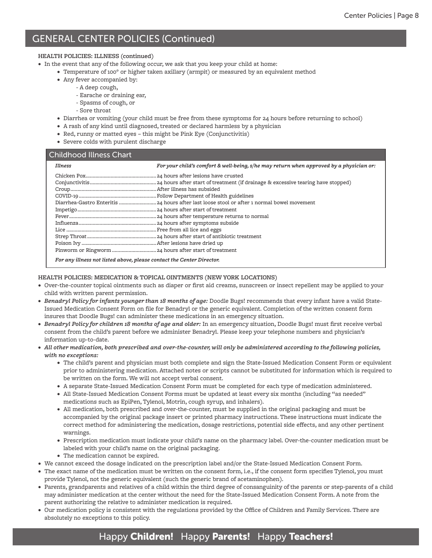#### **HEALTH POLICIES: ILLNESS (continued)**

- In the event that any of the following occur, we ask that you keep your child at home:
	- Temperature of 100° or higher taken axillary (armpit) or measured by an equivalent method
	- Any fever accompanied by:
		- A deep cough,
			- Earache or draining ear,
		- Spasms of cough, or
		- Sore throat
	- Diarrhea or vomiting (your child must be free from these symptoms for 24 hours before returning to school)
	- A rash of any kind until diagnosed, treated or declared harmless by a physician
	- Red, runny or matted eyes this might be Pink Eye (Conjunctivitis)
	- Severe colds with purulent discharge

#### Childhood Illness Chart

| Illness                                                                | For your child's comfort & well-being, s/he may return when approved by a physician or: |  |
|------------------------------------------------------------------------|-----------------------------------------------------------------------------------------|--|
|                                                                        |                                                                                         |  |
|                                                                        |                                                                                         |  |
|                                                                        |                                                                                         |  |
|                                                                        |                                                                                         |  |
|                                                                        |                                                                                         |  |
|                                                                        |                                                                                         |  |
|                                                                        |                                                                                         |  |
|                                                                        |                                                                                         |  |
|                                                                        |                                                                                         |  |
|                                                                        |                                                                                         |  |
|                                                                        |                                                                                         |  |
|                                                                        |                                                                                         |  |
| Four sure illusion ust listed above ulavas contrat the Contou Divestor |                                                                                         |  |

*For any illness not listed above, please contact the Center Director.*

#### **HEALTH POLICIES: MEDICATION & TOPICAL OINTMENTS (NEW YORK LOCATIONS)**

- Over-the-counter topical ointments such as diaper or first aid creams, sunscreen or insect repellent may be applied to your child with written parent permission.
- *• Benadryl Policy for infants younger than 18 months of age:* Doodle Bugs! recommends that every infant have a valid State-Issued Medication Consent Form on file for Benadryl or the generic equivalent. Completion of the written consent form insures that Doodle Bugs! can administer these medications in an emergency situation.
- *• Benadryl Policy for children 18 months of age and older:* In an emergency situation, Doodle Bugs! must first receive verbal consent from the child's parent before we administer Benadryl. Please keep your telephone numbers and physician's information up-to-date.
- *• All other medication, both prescribed and over-the-counter, will only be administered according to the following policies, with no exceptions:*
	- The child's parent and physician must both complete and sign the State-Issued Medication Consent Form or equivalent prior to administering medication. Attached notes or scripts cannot be substituted for information which is required to be written on the form. We will not accept verbal consent.
	- A separate State-Issued Medication Consent Form must be completed for each type of medication administered.
	- All State-Issued Medication Consent Forms must be updated at least every six months (including "as needed" medications such as EpiPen, Tylenol, Motrin, cough syrup, and inhalers).
	- All medication, both prescribed and over-the-counter, must be supplied in the original packaging and must be accompanied by the original package insert or printed pharmacy instructions. These instructions must indicate the correct method for administering the medication, dosage restrictions, potential side effects, and any other pertinent warnings.
	- Prescription medication must indicate your child's name on the pharmacy label. Over-the-counter medication must be labeled with your child's name on the original packaging.
	- The medication cannot be expired.
- We cannot exceed the dosage indicated on the prescription label and/or the State-Issued Medication Consent Form.
- The exact name of the medication must be written on the consent form, i.e., if the consent form specifies Tylenol, you must provide Tylenol, not the generic equivalent (such the generic brand of acetaminophen).
- Parents, grandparents and relatives of a child within the third degree of consanguinity of the parents or step-parents of a child may administer medication at the center without the need for the State-Issued Medication Consent Form. A note from the parent authorizing the relative to administer medication is required.
- Our medication policy is consistent with the regulations provided by the Office of Children and Family Services. There are absolutely no exceptions to this policy.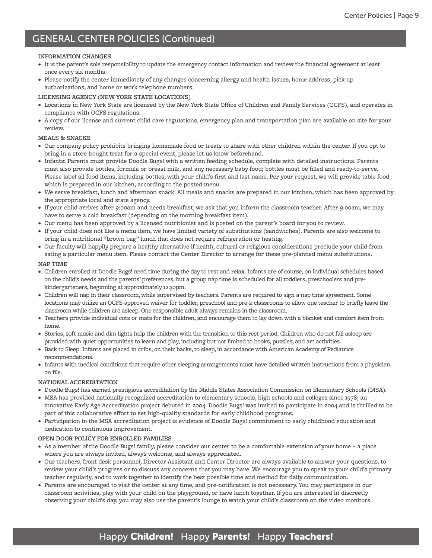#### **INFORMATION CHANGES**

- It is the parent's sole responsibility to update the emergency contact information and review the financial agreement at least once every six months.
- Please notify the center immediately of any changes concerning allergy and health issues, home address, pick-up authorizations, and home or work telephone numbers.

#### **LICENSING AGENCY (NEW YORK STATE LOCATIONS)**

- Locations in New York State are licensed by the New York State Office of Children and Family Services (OCFS), and operates in compliance with OCFS regulations.
- A copy of our license and current child care regulations, emergency plan and transportation plan are available on site for your review.

#### **MEALS & SNACKS**

- Our company policy prohibits bringing homemade food or treats to share with other children within the center. If you opt to bring in a store-bought treat for a special event, please let us know beforehand.
- Infants: Parents must provide Doodle Bugs! with a written feeding schedule, complete with detailed instructions. Parents must also provide bottles, formula or breast milk, and any necessary baby food; bottles must be filled and ready-to-serve. Please label all food items, including bottles, with your child's first and last name. Per your request, we will provide table food which is prepared in our kitchen, according to the posted menu.
- We serve breakfast, lunch and afternoon snack. All meals and snacks are prepared in our kitchen, which has been approved by the appropriate local and state agency.
- If your child arrives after 9:00am and needs breakfast, we ask that you inform the classroom teacher. After 9:00am, we may have to serve a cold breakfast (depending on the morning breakfast item).
- Our menu has been approved by a licensed nutritionist and is posted on the parent's board for you to review.
- If your child does not like a menu item, we have limited variety of substitutions (sandwiches). Parents are also welcome to bring in a nutritional "brown bag" lunch that does not require refrigeration or heating.
- Our faculty will happily prepare a healthy alternative if health, cultural or religious considerations preclude your child from eating a particular menu item. Please contact the Center Director to arrange for these pre-planned menu substitutions.

#### **NAP TIME**

- Children enrolled at Doodle Bugs! need time during the day to rest and relax. Infants are of course, on individual schedules based on the child's needs and the parents' preferences, but a group nap time is scheduled for all toddlers, preschoolers and prekindergarteners, beginning at approximately 12:30pm.
- Children will nap in their classroom, while supervised by teachers. Parents are required to sign a nap time agreement. Some locations may utilize an OCFS-approved waiver for toddler, preschool and pre-k classrooms to allow one teacher to briefly leave the classroom while children are asleep. One responsible adult always remains in the classroom.
- Teachers provide individual cots or mats for the children, and encourage them to lay down with a blanket and comfort item from home.
- Stories, soft music and dim lights help the children with the transition to this rest period. Children who do not fall asleep are provided with quiet opportunities to learn and play, including but not limited to books, puzzles, and art activities.
- Back to Sleep: Infants are placed in cribs, on their backs, to sleep, in accordance with American Academy of Pediatrics recommendations.
- Infants with medical conditions that require other sleeping arrangements must have detailed written instructions from a physician on file.

#### **NATIONAL ACCREDITATION**

- Doodle Bugs! has earned prestigious accreditation by the Middle States Association Commission on Elementary Schools (MSA).
- MSA has provided nationally recognized accreditation to elementary schools, high schools and colleges since 1978; an innovative Early Age Accreditation project debuted in 2004. Doodle Bugs! was invited to participate in 2004 and is thrilled to be part of this collaborative effort to set high-quality standards for early childhood programs.
- Participation in the MSA accreditation project is evidence of Doodle Bugs! commitment to early childhood education and dedication to continuous improvement.

#### **OPEN DOOR POLICY FOR ENROLLED FAMILIES**

- As a member of the Doodle Bugs! family, please consider our center to be a comfortable extension of your home a place where you are always invited, always welcome, and always appreciated.
- Our teachers, front desk personnel, Director Assistant and Center Director are always available to answer your questions, to review your child's progress or to discuss any concerns that you may have. We encourage you to speak to your child's primary teacher regularly, and to work together to identify the best possible time and method for daily communication.
- Parents are encouraged to visit the center at any time, and pre-notification is not necessary. You may participate in our classroom activities, play with your child on the playground, or have lunch together. If you are interested in discreetly observing your child's day, you may also use the parent's lounge to watch your child's classroom on the video monitors.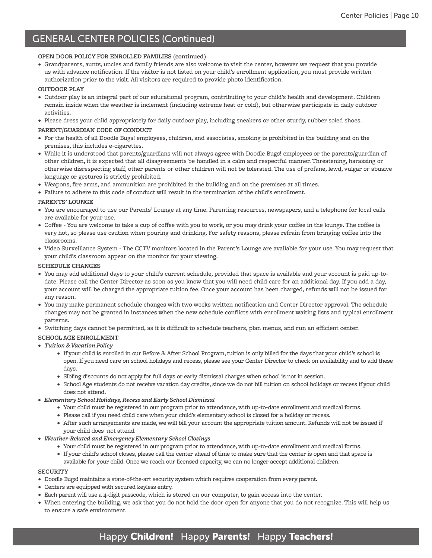#### **OPEN DOOR POLICY FOR ENROLLED FAMILIES (continued)**

• Grandparents, aunts, uncles and family friends are also welcome to visit the center, however we request that you provide us with advance notification. If the visitor is not listed on your child's enrollment application, you must provide written authorization prior to the visit. All visitors are required to provide photo identification.

#### **OUTDOOR PLAY**

- Outdoor play is an integral part of our educational program, contributing to your child's health and development. Children remain inside when the weather is inclement (including extreme heat or cold), but otherwise participate in daily outdoor activities.
- Please dress your child appropriately for daily outdoor play, including sneakers or other sturdy, rubber soled shoes.

#### **PARENT/GUARDIAN CODE OF CONDUCT**

- For the health of all Doodle Bugs! employees, children, and associates, smoking is prohibited in the building and on the premises, this includes e-cigarettes.
- While it is understood that parents/guardians will not always agree with Doodle Bugs! employees or the parents/guardian of other children, it is expected that all disagreements be handled in a calm and respectful manner. Threatening, harassing or otherwise disrespecting staff, other parents or other children will not be tolerated. The use of profane, lewd, vulgar or abusive language or gestures is strictly prohibited.
- Weapons, fire arms, and ammunition are prohibited in the building and on the premises at all times.
- Failure to adhere to this code of conduct will result in the termination of the child's enrollment.

#### **PARENTS' LOUNGE**

- You are encouraged to use our Parents' Lounge at any time. Parenting resources, newspapers, and a telephone for local calls are available for your use.
- Coffee You are welcome to take a cup of coffee with you to work, or you may drink your coffee in the lounge. The coffee is very hot, so please use caution when pouring and drinking. For safety reasons, please refrain from bringing coffee into the classrooms.
- Video Surveillance System The CCTV monitors located in the Parent's Lounge are available for your use. You may request that your child's classroom appear on the monitor for your viewing.

#### **SCHEDULE CHANGES**

- You may add additional days to your child's current schedule, provided that space is available and your account is paid up-todate. Please call the Center Director as soon as you know that you will need child care for an additional day. If you add a day, your account will be charged the appropriate tuition fee. Once your account has been charged, refunds will not be issued for any reason.
- You may make permanent schedule changes with two weeks written notification and Center Director approval. The schedule changes may not be granted in instances when the new schedule conflicts with enrollment waiting lists and typical enrollment patterns.
- Switching days cannot be permitted, as it is difficult to schedule teachers, plan menus, and run an efficient center.

#### **SCHOOL AGE ENROLLMENT**

- *• Tuition & Vacation Policy*
	- If your child is enrolled in our Before & After School Program, tuition is only billed for the days that your child's school is open. If you need care on school holidays and recess, please see your Center Director to check on availability and to add these days.
	- Sibling discounts do not apply for full days or early dismissal charges when school is not in session.
	- School Age students do not receive vacation day credits, since we do not bill tuition on school holidays or recess if your child does not attend.
- *• Elementary School Holidays, Recess and Early School Dismissal*
	- Your child must be registered in our program prior to attendance, with up-to-date enrollment and medical forms.
	- Please call if you need child care when your child's elementary school is closed for a holiday or recess.
	- After such arrangements are made, we will bill your account the appropriate tuition amount. Refunds will not be issued if your child does not attend.
- *• Weather-Related and Emergency Elementary School Closings*
	- Your child must be registered in our program prior to attendance, with up-to-date enrollment and medical forms.
	- If your child's school closes, please call the center ahead of time to make sure that the center is open and that space is available for your child. Once we reach our licensed capacity, we can no longer accept additional children.

#### **SECURITY**

- Doodle Bugs! maintains a state-of-the-art security system which requires cooperation from every parent.
- Centers are equipped with secured keyless entry.
- Each parent will use a 4-digit passcode, which is stored on our computer, to gain access into the center.
- When entering the building, we ask that you do not hold the door open for anyone that you do not recognize. This will help us to ensure a safe environment.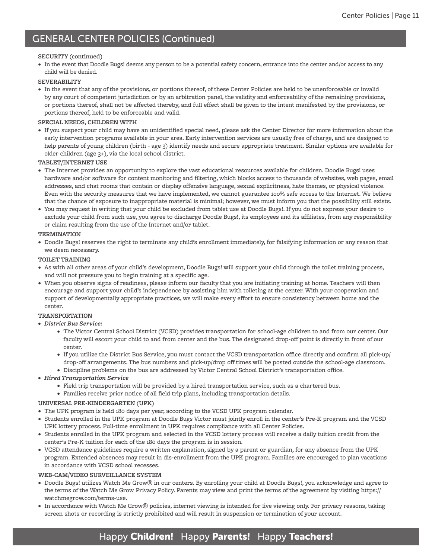#### **SECURITY (continued)**

• In the event that Doodle Bugs! deems any person to be a potential safety concern, entrance into the center and/or access to any child will be denied.

#### **SEVERABILITY**

• In the event that any of the provisions, or portions thereof, of these Center Policies are held to be unenforceable or invalid by any court of competent jurisdiction or by an arbitration panel, the validity and enforceability of the remaining provisions, or portions thereof, shall not be affected thereby, and full effect shall be given to the intent manifested by the provisions, or portions thereof, held to be enforceable and valid.

#### **SPECIAL NEEDS, CHILDREN WITH**

• If you suspect your child may have an unidentified special need, please ask the Center Director for more information about the early intervention programs available in your area. Early intervention services are usually free of charge, and are designed to help parents of young children (birth - age 3) identify needs and secure appropriate treatment. Similar options are available for older children (age 3+), via the local school district.

#### **TABLET/INTERNET USE**

- The Internet provides an opportunity to explore the vast educational resources available for children. Doodle Bugs! uses hardware and/or software for content monitoring and filtering, which blocks access to thousands of websites, web pages, email addresses, and chat rooms that contain or display offensive language, sexual explicitness, hate themes, or physical violence. Even with the security measures that we have implemented, we cannot guarantee 1oo% safe access to the Internet. We believe that the chance of exposure to inappropriate material is minimal; however, we must inform you that the possibility still exists.
- You may request in writing that your child be excluded from tablet use at Doodle Bugs!. If you do not express your desire to exclude your child from such use, you agree to discharge Doodle Bugs!, its employees and its affiliates, from any responsibility or claim resulting from the use of the Internet and/or tablet.

#### **TERMINATION**

• Doodle Bugs! reserves the right to terminate any child's enrollment immediately, for falsifying information or any reason that we deem necessary.

#### **TOILET TRAINING**

- As with all other areas of your child's development, Doodle Bugs! will support your child through the toilet training process, and will not pressure you to begin training at a specific age.
- When you observe signs of readiness, please inform our faculty that you are initiating training at home. Teachers will then encourage and support your child's independence by assisting him with toileting at the center. With your cooperation and support of developmentally appropriate practices, we will make every effort to ensure consistency between home and the center.

#### **TRANSPORTATION**

- *• District Bus Service:*
	- The Victor Central School District (VCSD) provides transportation for school-age children to and from our center. Our faculty will escort your child to and from center and the bus. The designated drop-off point is directly in front of our center.
	- If you utilize the District Bus Service, you must contact the VCSD transportation office directly and confirm all pick-up/ drop-off arrangements. The bus numbers and pick-up/drop off times will be posted outside the school-age classroom.
	- Discipline problems on the bus are addressed by Victor Central School District's transportation office.
- *• Hired Transportation Service*
	- Field trip transportation will be provided by a hired transportation service, such as a chartered bus.
	- Families receive prior notice of all field trip plans, including transportation details.

#### **UNIVERSAL PRE-KINDERGARTEN (UPK)**

- The UPK program is held 180 days per year, according to the VCSD UPK program calendar.
- Students enrolled in the UPK program at Doodle Bugs Victor must jointly enroll in the center's Pre-K program and the VCSD UPK lottery process. Full-time enrollment in UPK requires compliance with all Center Policies.
- Students enrolled in the UPK program and selected in the VCSD lottery process will receive a daily tuition credit from the center's Pre-K tuition for each of the 180 days the program is in session.
- VCSD attendance guidelines require a written explanation, signed by a parent or guardian, for any absence from the UPK program. Extended absences may result in dis-enrollment from the UPK program. Families are encouraged to plan vacations in accordance with VCSD school recesses.

#### **WEB-CAM/VIDEO SURVEILLANCE SYSTEM**

- Doodle Bugs! utilizes Watch Me Grow® in our centers. By enrolling your child at Doodle Bugs!, you acknowledge and agree to the terms of the Watch Me Grow Privacy Policy. Parents may view and print the terms of the agreement by visiting https:// watchmegrow.com/terms-use.
- In accordance with Watch Me Grow® policies, internet viewing is intended for live viewing only. For privacy reasons, taking screen shots or recording is strictly prohibited and will result in suspension or termination of your account.